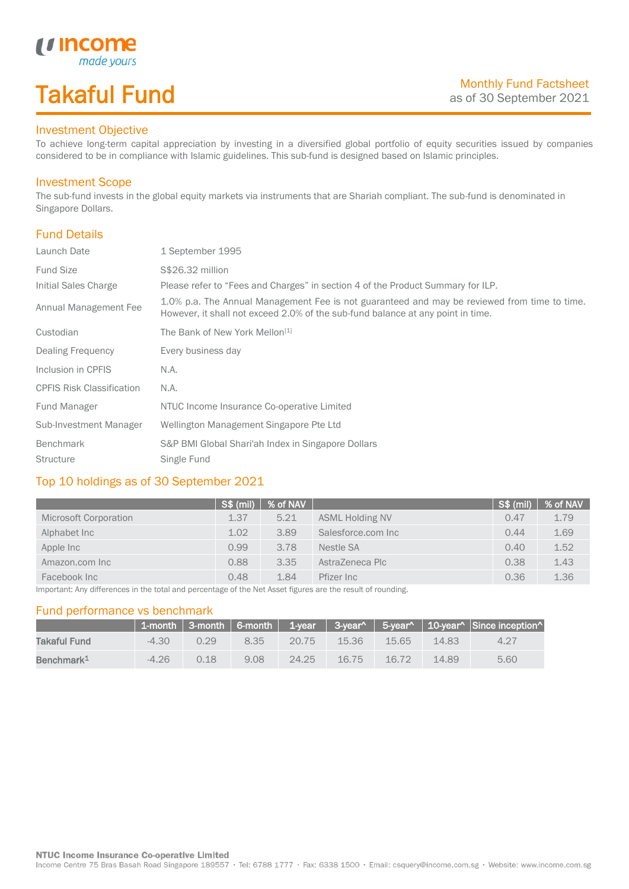# Takaful Fund

made your.

## Investment Objective

*u* Income

To achieve long-term capital appreciation by investing in a diversified global portfolio of equity securities issued by companies considered to be in compliance with Islamic guidelines. This sub-fund is designed based on Islamic principles.

### Investment Scope

The sub-fund invests in the global equity markets via instruments that are Shariah compliant. The sub-fund is denominated in Singapore Dollars.

## Fund Details

I

| Launch Date                      | 1 September 1995                                                                                                                                                                |  |
|----------------------------------|---------------------------------------------------------------------------------------------------------------------------------------------------------------------------------|--|
| <b>Fund Size</b>                 | S\$26.32 million                                                                                                                                                                |  |
| Initial Sales Charge             | Please refer to "Fees and Charges" in section 4 of the Product Summary for ILP.                                                                                                 |  |
| Annual Management Fee            | 1.0% p.a. The Annual Management Fee is not guaranteed and may be reviewed from time to time.<br>However, it shall not exceed 2.0% of the sub-fund balance at any point in time. |  |
| Custodian                        | The Bank of New York Mellon <sup>[1]</sup>                                                                                                                                      |  |
| Dealing Frequency                | Every business day                                                                                                                                                              |  |
| Inclusion in CPFIS               | N.A.                                                                                                                                                                            |  |
| <b>CPFIS Risk Classification</b> | N.A.                                                                                                                                                                            |  |
| Fund Manager                     | NTUC Income Insurance Co-operative Limited                                                                                                                                      |  |
| Sub-Investment Manager           | Wellington Management Singapore Pte Ltd                                                                                                                                         |  |
| Benchmark                        | S&P BMI Global Shari'ah Index in Singapore Dollars                                                                                                                              |  |
| <b>Structure</b>                 | Single Fund                                                                                                                                                                     |  |

## Top 10 holdings as of 30 September 2021

|                       | S\$ (mil) | % of NAV |                        | S\$ (mil) | % of NAV |
|-----------------------|-----------|----------|------------------------|-----------|----------|
| Microsoft Corporation | 1.37      | 5.21     | <b>ASML Holding NV</b> | 0.47      | 1.79     |
| Alphabet Inc          | 1.02      | 3.89     | Salesforce.com Inc     | 0.44      | 1.69     |
| Apple Inc             | 0.99      | 3.78     | Nestle SA              | 0.40      | 1.52     |
| Amazon.com Inc        | 0.88      | 3.35     | AstraZeneca Plc        | 0.38      | 1.43     |
| Facebook Inc          | 0.48      | 1.84     | Pfizer Inc             | 0.36      | 1.36     |

Important: Any differences in the total and percentage of the Net Asset figures are the result of rounding.

### Fund performance vs benchmark

|                        |         |      |      |       |       |          |       | 1-month   3-month   6-month   1-year   3-year^   5-year^   10-year^   Since inception^ |
|------------------------|---------|------|------|-------|-------|----------|-------|----------------------------------------------------------------------------------------|
| Takaful Fund           | $-4.30$ | O 29 | 8.35 | 20.75 | 15.36 | 15.65    | 14.83 | 4.27                                                                                   |
| Benchmark <sup>1</sup> | $-4.26$ | 0.18 | 9.08 | 24.25 | 16.75 | $-16.72$ | 14.89 | 5.60                                                                                   |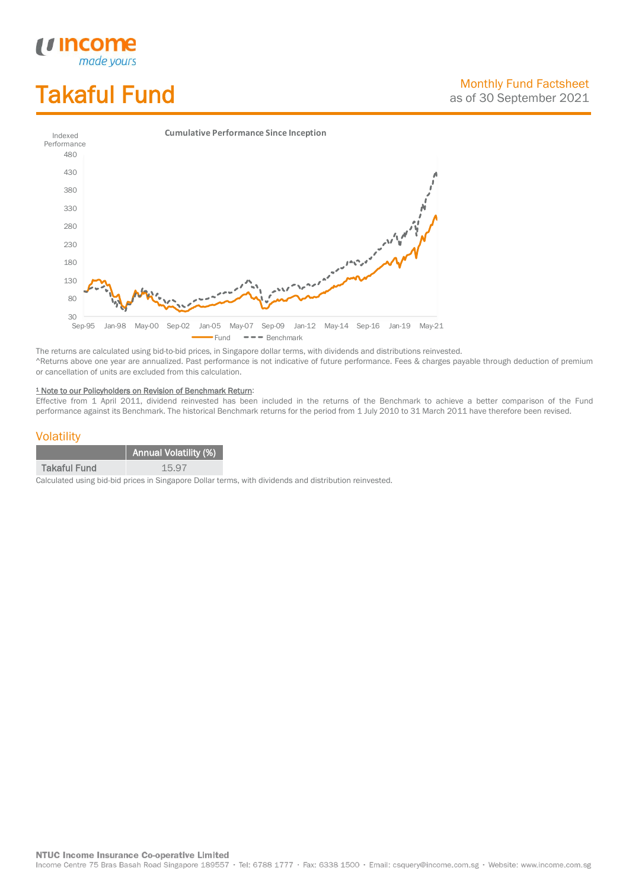# Takaful Fund

*<u>Income</u>*<br>made yours



The returns are calculated using bid-to-bid prices, in Singapore dollar terms, with dividends and distributions reinvested. ^Returns above one year are annualized. Past performance is not indicative of future performance. Fees & charges payable through deduction of premium or cancellation of units are excluded from this calculation.

#### <sup>1</sup> Note to our Policyholders on Revision of Benchmark Return:

Effective from 1 April 2011, dividend reinvested has been included in the returns of the Benchmark to achieve a better comparison of the Fund performance against its Benchmark. The historical Benchmark returns for the period from 1 July 2010 to 31 March 2011 have therefore been revised.

### **Volatility**

|                     | <b>Annual Volatility (%)</b> |
|---------------------|------------------------------|
| <b>Takaful Fund</b> | 15.97                        |

Calculated using bid-bid prices in Singapore Dollar terms, with dividends and distribution reinvested.

**NTUC Income Insurance Co-operative Limited** 

Income Centre 75 Bras Basah Road Singapore 189557 · Tel: 6788 1777 · Fax: 6338 1500 · Email: csquery@income.com.sg · Website: www.income.com.sg